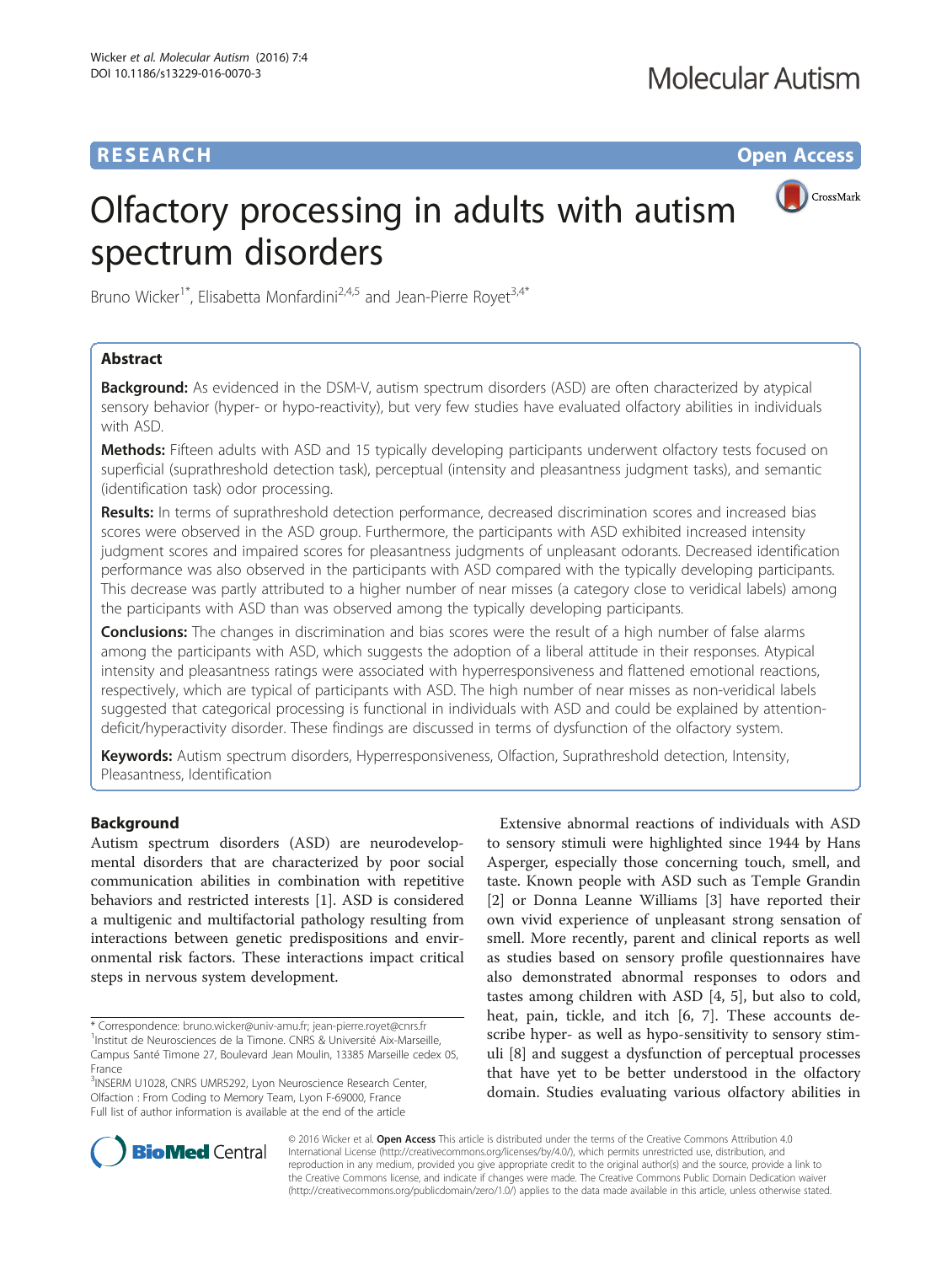# **RESEARCH CHE Open Access**

CrossMark

# Olfactory processing in adults with autism spectrum disorders

Bruno Wicker<sup>1\*</sup>, Elisabetta Monfardini<sup>2,4,5</sup> and Jean-Pierre Royet<sup>3,4\*</sup>

# Abstract

**Background:** As evidenced in the DSM-V, autism spectrum disorders (ASD) are often characterized by atypical sensory behavior (hyper- or hypo-reactivity), but very few studies have evaluated olfactory abilities in individuals with ASD.

**Methods:** Fifteen adults with ASD and 15 typically developing participants underwent olfactory tests focused on superficial (suprathreshold detection task), perceptual (intensity and pleasantness judgment tasks), and semantic (identification task) odor processing.

Results: In terms of suprathreshold detection performance, decreased discrimination scores and increased bias scores were observed in the ASD group. Furthermore, the participants with ASD exhibited increased intensity judgment scores and impaired scores for pleasantness judgments of unpleasant odorants. Decreased identification performance was also observed in the participants with ASD compared with the typically developing participants. This decrease was partly attributed to a higher number of near misses (a category close to veridical labels) among the participants with ASD than was observed among the typically developing participants.

**Conclusions:** The changes in discrimination and bias scores were the result of a high number of false alarms among the participants with ASD, which suggests the adoption of a liberal attitude in their responses. Atypical intensity and pleasantness ratings were associated with hyperresponsiveness and flattened emotional reactions, respectively, which are typical of participants with ASD. The high number of near misses as non-veridical labels suggested that categorical processing is functional in individuals with ASD and could be explained by attentiondeficit/hyperactivity disorder. These findings are discussed in terms of dysfunction of the olfactory system.

Keywords: Autism spectrum disorders, Hyperresponsiveness, Olfaction, Suprathreshold detection, Intensity, Pleasantness, Identification

#### Background

Autism spectrum disorders (ASD) are neurodevelopmental disorders that are characterized by poor social communication abilities in combination with repetitive behaviors and restricted interests [\[1](#page-9-0)]. ASD is considered a multigenic and multifactorial pathology resulting from interactions between genetic predispositions and environmental risk factors. These interactions impact critical steps in nervous system development.

<sup>3</sup>INSERM U1028, CNRS UMR5292, Lyon Neuroscience Research Center, Olfaction : From Coding to Memory Team, Lyon F-69000, France Full list of author information is available at the end of the article

Extensive abnormal reactions of individuals with ASD to sensory stimuli were highlighted since 1944 by Hans Asperger, especially those concerning touch, smell, and taste. Known people with ASD such as Temple Grandin [[2\]](#page-9-0) or Donna Leanne Williams [\[3](#page-9-0)] have reported their own vivid experience of unpleasant strong sensation of smell. More recently, parent and clinical reports as well as studies based on sensory profile questionnaires have also demonstrated abnormal responses to odors and tastes among children with ASD [[4, 5](#page-9-0)], but also to cold, heat, pain, tickle, and itch [\[6](#page-9-0), [7](#page-9-0)]. These accounts describe hyper- as well as hypo-sensitivity to sensory stimuli [[8](#page-9-0)] and suggest a dysfunction of perceptual processes that have yet to be better understood in the olfactory domain. Studies evaluating various olfactory abilities in



© 2016 Wicker et al. Open Access This article is distributed under the terms of the Creative Commons Attribution 4.0 International License [\(http://creativecommons.org/licenses/by/4.0/](http://creativecommons.org/licenses/by/4.0/)), which permits unrestricted use, distribution, and reproduction in any medium, provided you give appropriate credit to the original author(s) and the source, provide a link to the Creative Commons license, and indicate if changes were made. The Creative Commons Public Domain Dedication waiver [\(http://creativecommons.org/publicdomain/zero/1.0/](http://creativecommons.org/publicdomain/zero/1.0/)) applies to the data made available in this article, unless otherwise stated.

<sup>\*</sup> Correspondence: [bruno.wicker@univ-amu.fr](mailto:bruno.wicker@univ-amu.fr); [jean-pierre.royet@cnrs.fr](mailto:jean-pierre.royet@cnrs.fr) <sup>1</sup> <sup>1</sup>Institut de Neurosciences de la Timone. CNRS & Université Aix-Marseille, Campus Santé Timone 27, Boulevard Jean Moulin, 13385 Marseille cedex 05, France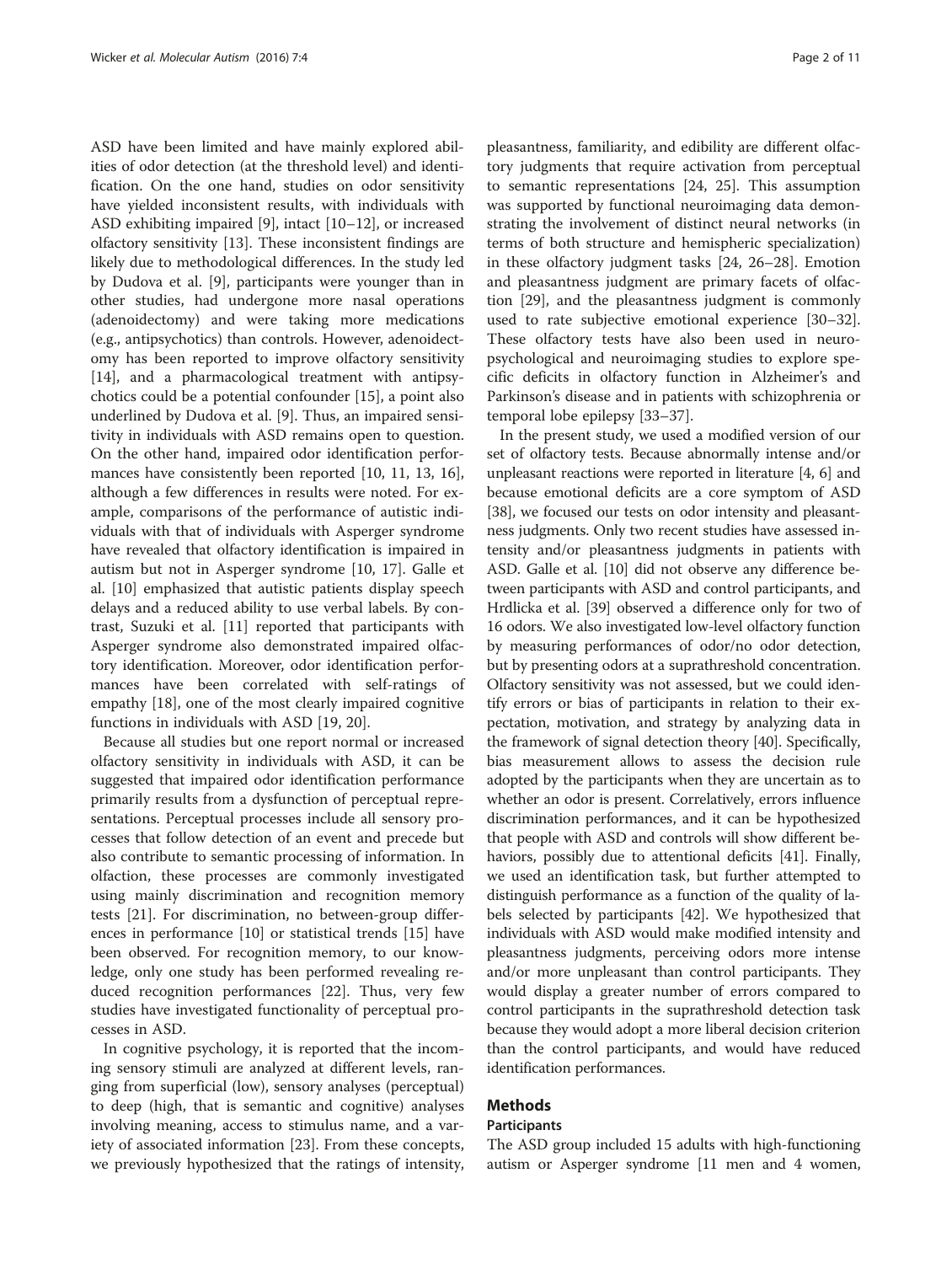ASD have been limited and have mainly explored abilities of odor detection (at the threshold level) and identification. On the one hand, studies on odor sensitivity have yielded inconsistent results, with individuals with ASD exhibiting impaired [[9](#page-9-0)], intact [[10](#page-9-0)–[12](#page-9-0)], or increased olfactory sensitivity [[13\]](#page-9-0). These inconsistent findings are likely due to methodological differences. In the study led by Dudova et al. [[9\]](#page-9-0), participants were younger than in other studies, had undergone more nasal operations (adenoidectomy) and were taking more medications (e.g., antipsychotics) than controls. However, adenoidectomy has been reported to improve olfactory sensitivity [[14\]](#page-9-0), and a pharmacological treatment with antipsychotics could be a potential confounder [\[15\]](#page-9-0), a point also underlined by Dudova et al. [\[9](#page-9-0)]. Thus, an impaired sensitivity in individuals with ASD remains open to question. On the other hand, impaired odor identification performances have consistently been reported [[10, 11](#page-9-0), [13, 16](#page-9-0)], although a few differences in results were noted. For example, comparisons of the performance of autistic individuals with that of individuals with Asperger syndrome have revealed that olfactory identification is impaired in autism but not in Asperger syndrome [\[10, 17\]](#page-9-0). Galle et al. [[10\]](#page-9-0) emphasized that autistic patients display speech delays and a reduced ability to use verbal labels. By contrast, Suzuki et al. [[11](#page-9-0)] reported that participants with Asperger syndrome also demonstrated impaired olfactory identification. Moreover, odor identification performances have been correlated with self-ratings of empathy [\[18\]](#page-9-0), one of the most clearly impaired cognitive functions in individuals with ASD [[19, 20](#page-9-0)].

Because all studies but one report normal or increased olfactory sensitivity in individuals with ASD, it can be suggested that impaired odor identification performance primarily results from a dysfunction of perceptual representations. Perceptual processes include all sensory processes that follow detection of an event and precede but also contribute to semantic processing of information. In olfaction, these processes are commonly investigated using mainly discrimination and recognition memory tests [\[21](#page-9-0)]. For discrimination, no between-group differences in performance [[10](#page-9-0)] or statistical trends [[15](#page-9-0)] have been observed. For recognition memory, to our knowledge, only one study has been performed revealing reduced recognition performances [[22\]](#page-9-0). Thus, very few studies have investigated functionality of perceptual processes in ASD.

In cognitive psychology, it is reported that the incoming sensory stimuli are analyzed at different levels, ranging from superficial (low), sensory analyses (perceptual) to deep (high, that is semantic and cognitive) analyses involving meaning, access to stimulus name, and a variety of associated information [[23](#page-9-0)]. From these concepts, we previously hypothesized that the ratings of intensity,

pleasantness, familiarity, and edibility are different olfactory judgments that require activation from perceptual to semantic representations [[24, 25\]](#page-9-0). This assumption was supported by functional neuroimaging data demonstrating the involvement of distinct neural networks (in terms of both structure and hemispheric specialization) in these olfactory judgment tasks [\[24](#page-9-0), [26](#page-9-0)–[28](#page-9-0)]. Emotion and pleasantness judgment are primary facets of olfaction [[29\]](#page-9-0), and the pleasantness judgment is commonly used to rate subjective emotional experience [[30](#page-9-0)–[32](#page-9-0)]. These olfactory tests have also been used in neuropsychological and neuroimaging studies to explore specific deficits in olfactory function in Alzheimer's and Parkinson's disease and in patients with schizophrenia or temporal lobe epilepsy [\[33](#page-9-0)–[37\]](#page-9-0).

In the present study, we used a modified version of our set of olfactory tests. Because abnormally intense and/or unpleasant reactions were reported in literature [[4, 6\]](#page-9-0) and because emotional deficits are a core symptom of ASD [[38](#page-9-0)], we focused our tests on odor intensity and pleasantness judgments. Only two recent studies have assessed intensity and/or pleasantness judgments in patients with ASD. Galle et al. [[10](#page-9-0)] did not observe any difference between participants with ASD and control participants, and Hrdlicka et al. [[39](#page-9-0)] observed a difference only for two of 16 odors. We also investigated low-level olfactory function by measuring performances of odor/no odor detection, but by presenting odors at a suprathreshold concentration. Olfactory sensitivity was not assessed, but we could identify errors or bias of participants in relation to their expectation, motivation, and strategy by analyzing data in the framework of signal detection theory [\[40](#page-9-0)]. Specifically, bias measurement allows to assess the decision rule adopted by the participants when they are uncertain as to whether an odor is present. Correlatively, errors influence discrimination performances, and it can be hypothesized that people with ASD and controls will show different be-haviors, possibly due to attentional deficits [[41](#page-9-0)]. Finally, we used an identification task, but further attempted to distinguish performance as a function of the quality of labels selected by participants [[42](#page-9-0)]. We hypothesized that individuals with ASD would make modified intensity and pleasantness judgments, perceiving odors more intense and/or more unpleasant than control participants. They would display a greater number of errors compared to control participants in the suprathreshold detection task because they would adopt a more liberal decision criterion than the control participants, and would have reduced identification performances.

#### Methods

#### Participants

The ASD group included 15 adults with high-functioning autism or Asperger syndrome [11 men and 4 women,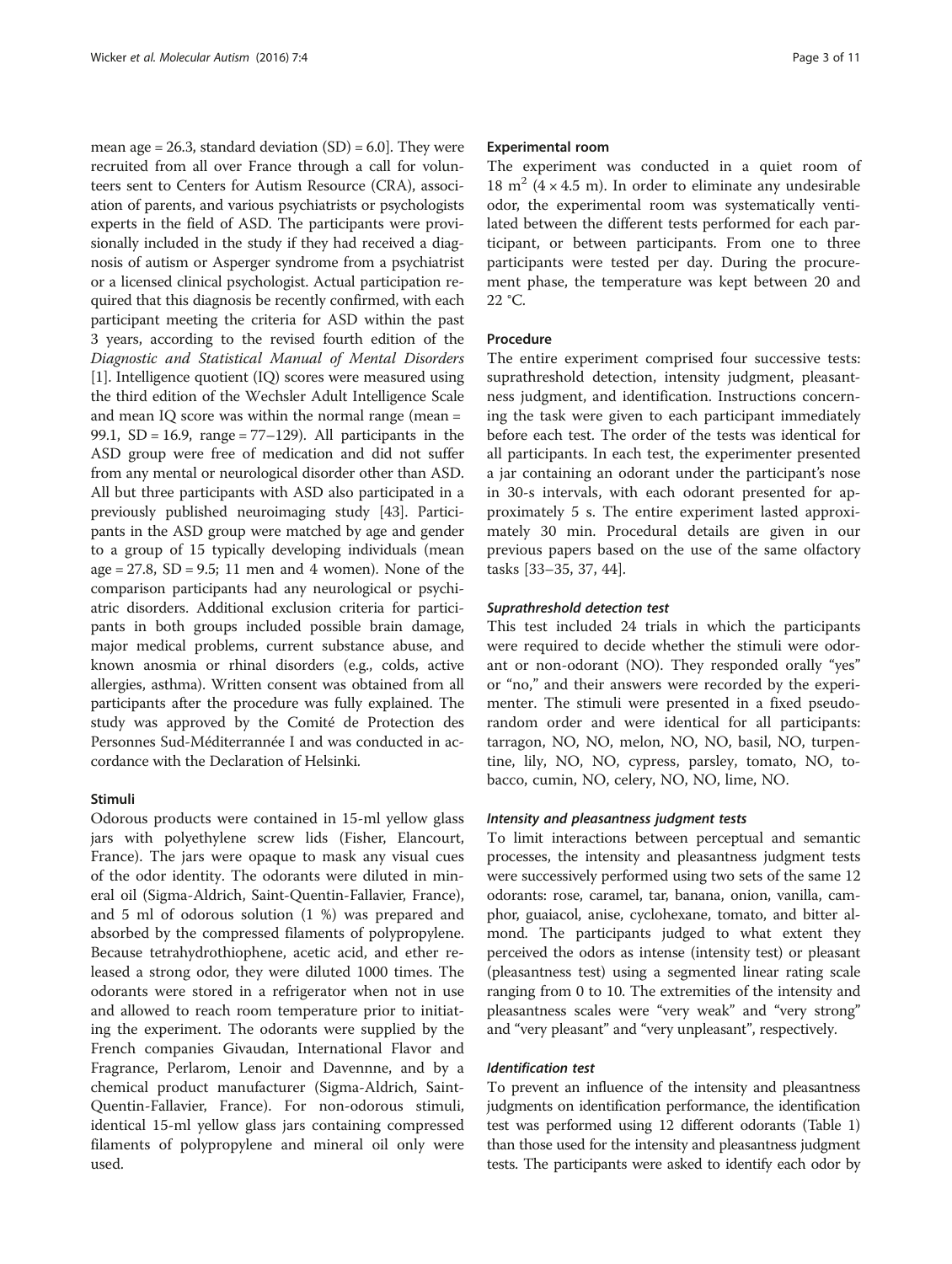mean age = 26.3, standard deviation  $(SD) = 6.0$ . They were recruited from all over France through a call for volunteers sent to Centers for Autism Resource (CRA), association of parents, and various psychiatrists or psychologists experts in the field of ASD. The participants were provisionally included in the study if they had received a diagnosis of autism or Asperger syndrome from a psychiatrist or a licensed clinical psychologist. Actual participation required that this diagnosis be recently confirmed, with each participant meeting the criteria for ASD within the past 3 years, according to the revised fourth edition of the Diagnostic and Statistical Manual of Mental Disorders [[1\]](#page-9-0). Intelligence quotient (IQ) scores were measured using the third edition of the Wechsler Adult Intelligence Scale and mean IQ score was within the normal range (mean = 99.1,  $SD = 16.9$ , range = 77-129). All participants in the ASD group were free of medication and did not suffer from any mental or neurological disorder other than ASD. All but three participants with ASD also participated in a previously published neuroimaging study [\[43](#page-9-0)]. Participants in the ASD group were matched by age and gender to a group of 15 typically developing individuals (mean age  $= 27.8$ , SD  $= 9.5$ ; 11 men and 4 women). None of the comparison participants had any neurological or psychiatric disorders. Additional exclusion criteria for participants in both groups included possible brain damage, major medical problems, current substance abuse, and known anosmia or rhinal disorders (e.g., colds, active allergies, asthma). Written consent was obtained from all participants after the procedure was fully explained. The study was approved by the Comité de Protection des Personnes Sud-Méditerrannée I and was conducted in accordance with the Declaration of Helsinki.

#### Stimuli

Odorous products were contained in 15-ml yellow glass jars with polyethylene screw lids (Fisher, Elancourt, France). The jars were opaque to mask any visual cues of the odor identity. The odorants were diluted in mineral oil (Sigma-Aldrich, Saint-Quentin-Fallavier, France), and 5 ml of odorous solution (1 %) was prepared and absorbed by the compressed filaments of polypropylene. Because tetrahydrothiophene, acetic acid, and ether released a strong odor, they were diluted 1000 times. The odorants were stored in a refrigerator when not in use and allowed to reach room temperature prior to initiating the experiment. The odorants were supplied by the French companies Givaudan, International Flavor and Fragrance, Perlarom, Lenoir and Davennne, and by a chemical product manufacturer (Sigma-Aldrich, Saint-Quentin-Fallavier, France). For non-odorous stimuli, identical 15-ml yellow glass jars containing compressed filaments of polypropylene and mineral oil only were used.

#### Experimental room

The experiment was conducted in a quiet room of 18 m<sup>2</sup> (4  $\times$  4.5 m). In order to eliminate any undesirable odor, the experimental room was systematically ventilated between the different tests performed for each participant, or between participants. From one to three participants were tested per day. During the procurement phase, the temperature was kept between 20 and  $22 °C$ .

#### Procedure

The entire experiment comprised four successive tests: suprathreshold detection, intensity judgment, pleasantness judgment, and identification. Instructions concerning the task were given to each participant immediately before each test. The order of the tests was identical for all participants. In each test, the experimenter presented a jar containing an odorant under the participant's nose in 30-s intervals, with each odorant presented for approximately 5 s. The entire experiment lasted approximately 30 min. Procedural details are given in our previous papers based on the use of the same olfactory tasks [\[33](#page-9-0)–[35, 37,](#page-9-0) [44](#page-10-0)].

#### Suprathreshold detection test

This test included 24 trials in which the participants were required to decide whether the stimuli were odorant or non-odorant (NO). They responded orally "yes" or "no," and their answers were recorded by the experimenter. The stimuli were presented in a fixed pseudorandom order and were identical for all participants: tarragon, NO, NO, melon, NO, NO, basil, NO, turpentine, lily, NO, NO, cypress, parsley, tomato, NO, tobacco, cumin, NO, celery, NO, NO, lime, NO.

#### Intensity and pleasantness judgment tests

To limit interactions between perceptual and semantic processes, the intensity and pleasantness judgment tests were successively performed using two sets of the same 12 odorants: rose, caramel, tar, banana, onion, vanilla, camphor, guaiacol, anise, cyclohexane, tomato, and bitter almond. The participants judged to what extent they perceived the odors as intense (intensity test) or pleasant (pleasantness test) using a segmented linear rating scale ranging from 0 to 10. The extremities of the intensity and pleasantness scales were "very weak" and "very strong" and "very pleasant" and "very unpleasant", respectively.

#### Identification test

To prevent an influence of the intensity and pleasantness judgments on identification performance, the identification test was performed using 12 different odorants (Table [1](#page-3-0)) than those used for the intensity and pleasantness judgment tests. The participants were asked to identify each odor by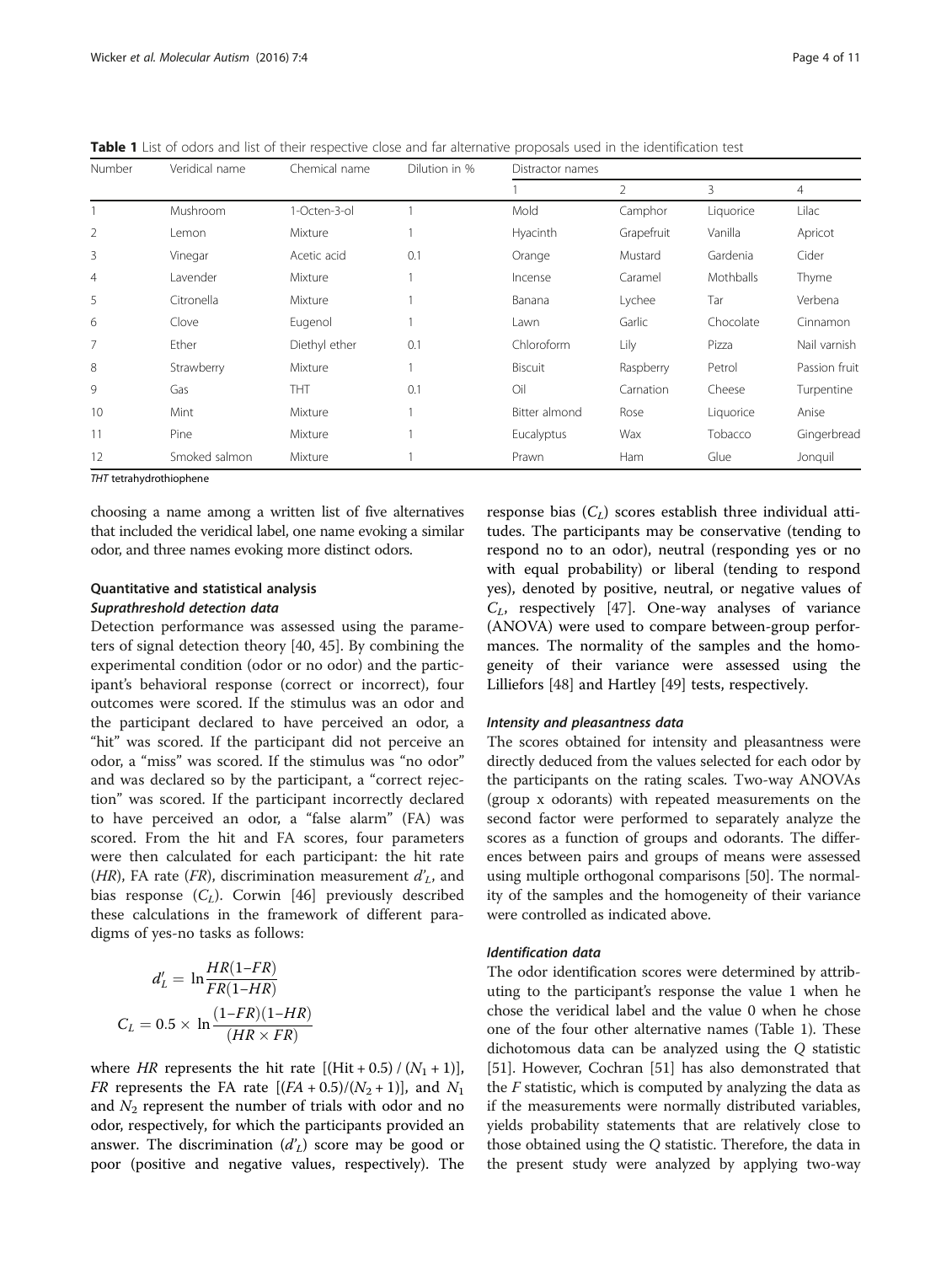<span id="page-3-0"></span>Table 1 List of odors and list of their respective close and far alternative proposals used in the identification test

| Number         | Veridical name | Chemical name  | Dilution in % | Distractor names |                |           |                |
|----------------|----------------|----------------|---------------|------------------|----------------|-----------|----------------|
|                |                |                |               |                  | $\overline{2}$ | 3         | $\overline{4}$ |
|                | Mushroom       | 1-Octen-3-ol   |               | Mold             | Camphor        | Liquorice | Lilac          |
| 2              | Lemon          | <b>Mixture</b> |               | Hyacinth         | Grapefruit     | Vanilla   | Apricot        |
| 3              | Vinegar        | Acetic acid    | 0.1           | Orange           | Mustard        | Gardenia  | Cider          |
| $\overline{4}$ | Lavender       | Mixture        |               | Incense          | Caramel        | Mothballs | Thyme          |
| 5              | Citronella     | Mixture        |               | Banana           | Lychee         | Tar       | Verbena        |
| 6              | Clove          | Eugenol        |               | Lawn             | Garlic         | Chocolate | Cinnamon       |
| 7              | Ether          | Diethyl ether  | 0.1           | Chloroform       | Lily           | Pizza     | Nail varnish   |
| 8              | Strawberry     | Mixture        |               | <b>Biscuit</b>   | Raspberry      | Petrol    | Passion fruit  |
| 9              | Gas            | <b>THT</b>     | 0.1           | Oil              | Carnation      | Cheese    | Turpentine     |
| 10             | Mint           | <b>Mixture</b> |               | Bitter almond    | Rose           | Liquorice | Anise          |
| 11             | Pine           | Mixture        |               | Eucalyptus       | Wax            | Tobacco   | Gingerbread    |
| 12             | Smoked salmon  | Mixture        |               | Prawn            | Ham            | Glue      | Jonquil        |

THT tetrahydrothiophene

choosing a name among a written list of five alternatives that included the veridical label, one name evoking a similar odor, and three names evoking more distinct odors.

# Quantitative and statistical analysis Suprathreshold detection data

Detection performance was assessed using the parameters of signal detection theory [\[40,](#page-9-0) [45\]](#page-10-0). By combining the experimental condition (odor or no odor) and the participant's behavioral response (correct or incorrect), four outcomes were scored. If the stimulus was an odor and the participant declared to have perceived an odor, a "hit" was scored. If the participant did not perceive an odor, a "miss" was scored. If the stimulus was "no odor" and was declared so by the participant, a "correct rejection" was scored. If the participant incorrectly declared to have perceived an odor, a "false alarm" (FA) was scored. From the hit and FA scores, four parameters were then calculated for each participant: the hit rate (HR), FA rate (FR), discrimination measurement  $d'_L$ , and bias response  $(C_L)$ . Corwin [\[46\]](#page-10-0) previously described these calculations in the framework of different paradigms of yes-no tasks as follows:

$$
d'_{L} = \ln \frac{HR(1-FR)}{FR(1-HR)}
$$

$$
C_{L} = 0.5 \times \ln \frac{(1-FR)(1-HR)}{(HR \times FR)}
$$

where HR represents the hit rate  $[(\text{Hit} + 0.5) / (N_1 + 1)],$ *FR* represents the FA rate  $[(FA + 0.5)/(N<sub>2</sub> + 1)]$ , and  $N<sub>1</sub>$ and  $N_2$  represent the number of trials with odor and no odor, respectively, for which the participants provided an answer. The discrimination  $(d'_L)$  score may be good or poor (positive and negative values, respectively). The

response bias  $(C<sub>L</sub>)$  scores establish three individual attitudes. The participants may be conservative (tending to respond no to an odor), neutral (responding yes or no with equal probability) or liberal (tending to respond yes), denoted by positive, neutral, or negative values of  $C_L$ , respectively [[47\]](#page-10-0). One-way analyses of variance (ANOVA) were used to compare between-group performances. The normality of the samples and the homogeneity of their variance were assessed using the Lilliefors [\[48](#page-10-0)] and Hartley [[49](#page-10-0)] tests, respectively.

#### Intensity and pleasantness data

The scores obtained for intensity and pleasantness were directly deduced from the values selected for each odor by the participants on the rating scales. Two-way ANOVAs (group x odorants) with repeated measurements on the second factor were performed to separately analyze the scores as a function of groups and odorants. The differences between pairs and groups of means were assessed using multiple orthogonal comparisons [\[50\]](#page-10-0). The normality of the samples and the homogeneity of their variance were controlled as indicated above.

#### Identification data

The odor identification scores were determined by attributing to the participant's response the value 1 when he chose the veridical label and the value 0 when he chose one of the four other alternative names (Table 1). These dichotomous data can be analyzed using the Q statistic [[51](#page-10-0)]. However, Cochran [[51](#page-10-0)] has also demonstrated that the  $F$  statistic, which is computed by analyzing the data as if the measurements were normally distributed variables, yields probability statements that are relatively close to those obtained using the Q statistic. Therefore, the data in the present study were analyzed by applying two-way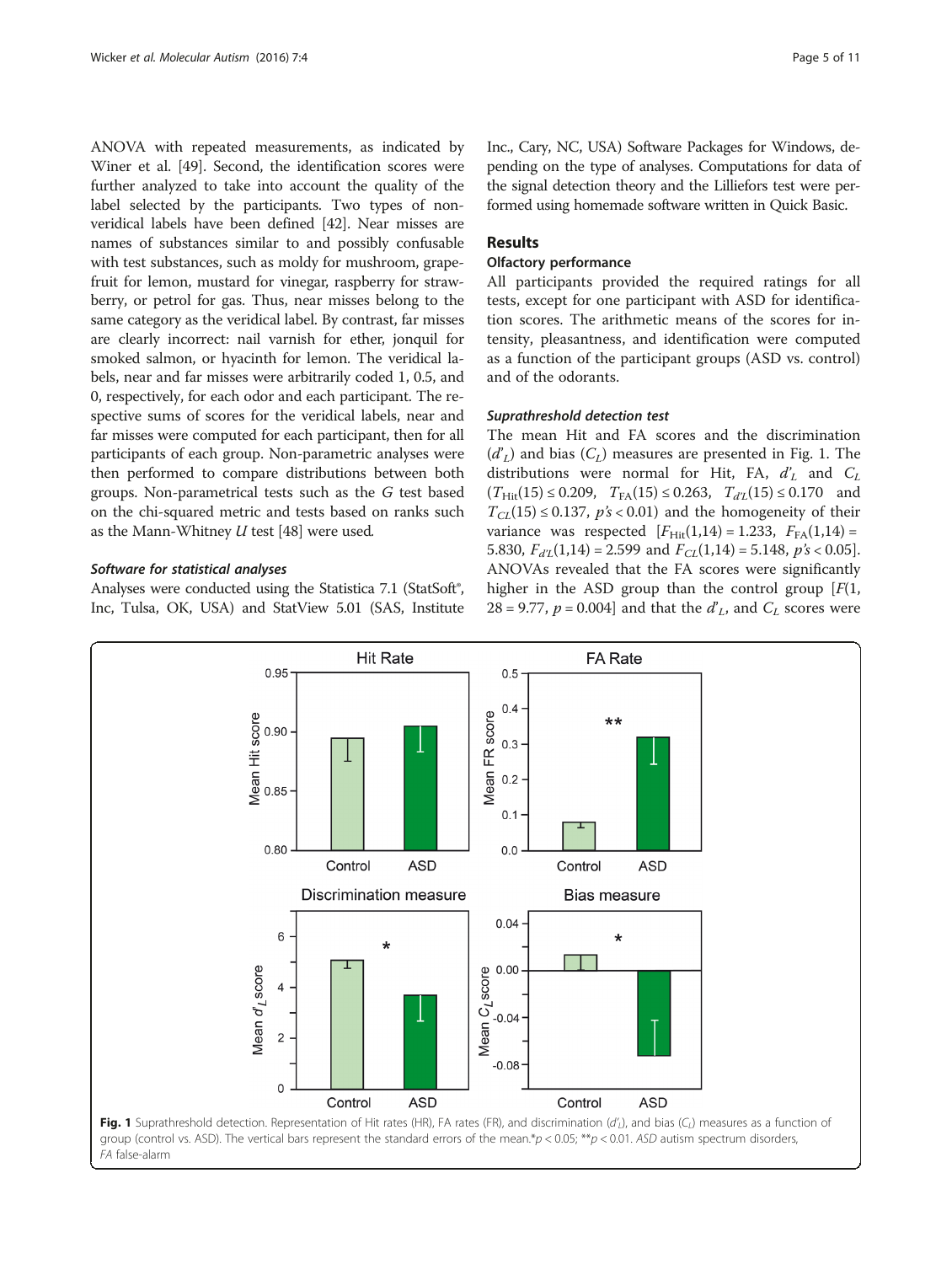ANOVA with repeated measurements, as indicated by Winer et al. [\[49\]](#page-10-0). Second, the identification scores were further analyzed to take into account the quality of the label selected by the participants. Two types of nonveridical labels have been defined [\[42](#page-9-0)]. Near misses are names of substances similar to and possibly confusable with test substances, such as moldy for mushroom, grapefruit for lemon, mustard for vinegar, raspberry for strawberry, or petrol for gas. Thus, near misses belong to the same category as the veridical label. By contrast, far misses are clearly incorrect: nail varnish for ether, jonquil for smoked salmon, or hyacinth for lemon. The veridical labels, near and far misses were arbitrarily coded 1, 0.5, and 0, respectively, for each odor and each participant. The respective sums of scores for the veridical labels, near and far misses were computed for each participant, then for all participants of each group. Non-parametric analyses were then performed to compare distributions between both groups. Non-parametrical tests such as the G test based on the chi-squared metric and tests based on ranks such as the Mann-Whitney  $U$  test [\[48\]](#page-10-0) were used.

#### Software for statistical analyses

Analyses were conducted using the Statistica 7.1 (StatSoft®, Inc, Tulsa, OK, USA) and StatView 5.01 (SAS, Institute Inc., Cary, NC, USA) Software Packages for Windows, depending on the type of analyses. Computations for data of the signal detection theory and the Lilliefors test were performed using homemade software written in Quick Basic.

### Results

## Olfactory performance

All participants provided the required ratings for all tests, except for one participant with ASD for identification scores. The arithmetic means of the scores for intensity, pleasantness, and identification were computed as a function of the participant groups (ASD vs. control) and of the odorants.

#### Suprathreshold detection test

The mean Hit and FA scores and the discrimination  $(d'_L)$  and bias  $(C_L)$  measures are presented in Fig. 1. The distributions were normal for Hit, FA,  $d'_L$  and  $C_L$  $(T_{\text{Hit}}(15) \le 0.209, T_{\text{FA}}(15) \le 0.263, T_{d'L}(15) \le 0.170$  and  $T_{CL}(15) \le 0.137$ ,  $p's < 0.01$ ) and the homogeneity of their variance was respected  $[F_{Hit}(1,14) = 1.233, F_{FA}(1,14) =$ 5.830,  $F_{dT}(1,14) = 2.599$  and  $F_{CL}(1,14) = 5.148$ ,  $p's < 0.05$ . ANOVAs revealed that the FA scores were significantly higher in the ASD group than the control group  $[F(1,$ 28 = 9.77,  $p = 0.004$ ] and that the  $d'_L$ , and  $C_L$  scores were

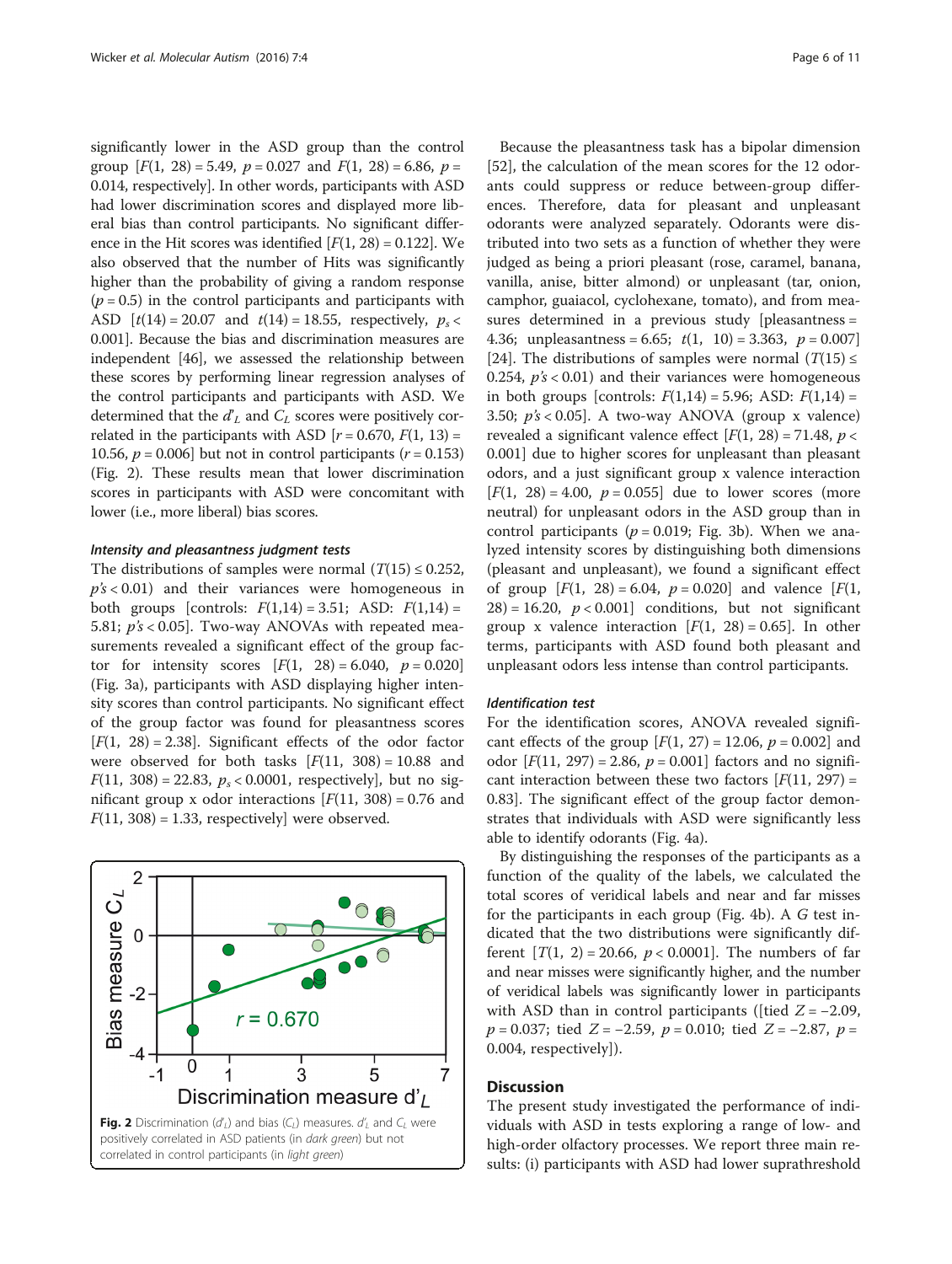significantly lower in the ASD group than the control group  $[F(1, 28) = 5.49, p = 0.027 \text{ and } F(1, 28) = 6.86, p =$ 0.014, respectively]. In other words, participants with ASD had lower discrimination scores and displayed more liberal bias than control participants. No significant difference in the Hit scores was identified  $[F(1, 28) = 0.122]$ . We also observed that the number of Hits was significantly higher than the probability of giving a random response  $(p = 0.5)$  in the control participants and participants with ASD  $[t(14) = 20.07$  and  $t(14) = 18.55$ , respectively,  $p_s <$ 0.001]. Because the bias and discrimination measures are independent [\[46](#page-10-0)], we assessed the relationship between these scores by performing linear regression analyses of the control participants and participants with ASD. We determined that the  $d'_L$  and  $C_L$  scores were positively correlated in the participants with ASD  $[r = 0.670, F(1, 13) =$ 10.56,  $p = 0.006$ ] but not in control participants ( $r = 0.153$ ) (Fig. 2). These results mean that lower discrimination scores in participants with ASD were concomitant with lower (i.e., more liberal) bias scores.

#### Intensity and pleasantness judgment tests

The distributions of samples were normal  $(T(15) \le 0.252)$ ,  $p's < 0.01$ ) and their variances were homogeneous in both groups [controls:  $F(1,14) = 3.51$ ; ASD:  $F(1,14) =$ 5.81;  $p's < 0.05$ ]. Two-way ANOVAs with repeated measurements revealed a significant effect of the group factor for intensity scores  $[F(1, 28) = 6.040, p = 0.020]$ (Fig. [3a](#page-6-0)), participants with ASD displaying higher intensity scores than control participants. No significant effect of the group factor was found for pleasantness scores  $[F(1, 28) = 2.38]$ . Significant effects of the odor factor were observed for both tasks  $[F(11, 308) = 10.88$  and  $F(11, 308) = 22.83, p_s < 0.0001$ , respectively], but no significant group x odor interactions  $[F(11, 308) = 0.76$  and  $F(11, 308) = 1.33$ , respectively] were observed.



Because the pleasantness task has a bipolar dimension [[52\]](#page-10-0), the calculation of the mean scores for the 12 odorants could suppress or reduce between-group differences. Therefore, data for pleasant and unpleasant odorants were analyzed separately. Odorants were distributed into two sets as a function of whether they were judged as being a priori pleasant (rose, caramel, banana, vanilla, anise, bitter almond) or unpleasant (tar, onion, camphor, guaiacol, cyclohexane, tomato), and from measures determined in a previous study [pleasantness = 4.36; unpleasantness = 6.65;  $t(1, 10) = 3.363$ ,  $p = 0.007$ ] [[24\]](#page-9-0). The distributions of samples were normal  $(T(15) \le$ 0.254,  $p's < 0.01$ ) and their variances were homogeneous in both groups [controls:  $F(1,14) = 5.96$ ; ASD:  $F(1,14) =$ 3.50;  $p's < 0.05$ ]. A two-way ANOVA (group x valence) revealed a significant valence effect  $[F(1, 28) = 71.48, p <$ 0.001] due to higher scores for unpleasant than pleasant odors, and a just significant group x valence interaction  $[F(1, 28) = 4.00, p = 0.055]$  due to lower scores (more neutral) for unpleasant odors in the ASD group than in control participants ( $p = 0.019$ ; Fig. [3b](#page-6-0)). When we analyzed intensity scores by distinguishing both dimensions (pleasant and unpleasant), we found a significant effect of group [F(1, 28) = 6.04, p = 0.020] and valence [F(1,  $28$  = 16.20,  $p < 0.001$ ] conditions, but not significant group x valence interaction  $[F(1, 28) = 0.65]$ . In other terms, participants with ASD found both pleasant and unpleasant odors less intense than control participants.

#### Identification test

For the identification scores, ANOVA revealed significant effects of the group  $[F(1, 27) = 12.06, p = 0.002]$  and odor  $[F(11, 297) = 2.86, p = 0.001]$  factors and no significant interaction between these two factors  $[F(11, 297) =$ 0.83]. The significant effect of the group factor demonstrates that individuals with ASD were significantly less able to identify odorants (Fig. [4a\)](#page-6-0).

By distinguishing the responses of the participants as a function of the quality of the labels, we calculated the total scores of veridical labels and near and far misses for the participants in each group (Fig. [4b\)](#page-6-0). A G test indicated that the two distributions were significantly different  $[T(1, 2) = 20.66, p < 0.0001]$ . The numbers of far and near misses were significantly higher, and the number of veridical labels was significantly lower in participants with ASD than in control participants ([tied  $Z = -2.09$ ,  $p = 0.037$ ; tied  $Z = -2.59$ ,  $p = 0.010$ ; tied  $Z = -2.87$ ,  $p =$ 0.004, respectively]).

#### **Discussion**

The present study investigated the performance of individuals with ASD in tests exploring a range of low- and high-order olfactory processes. We report three main results: (i) participants with ASD had lower suprathreshold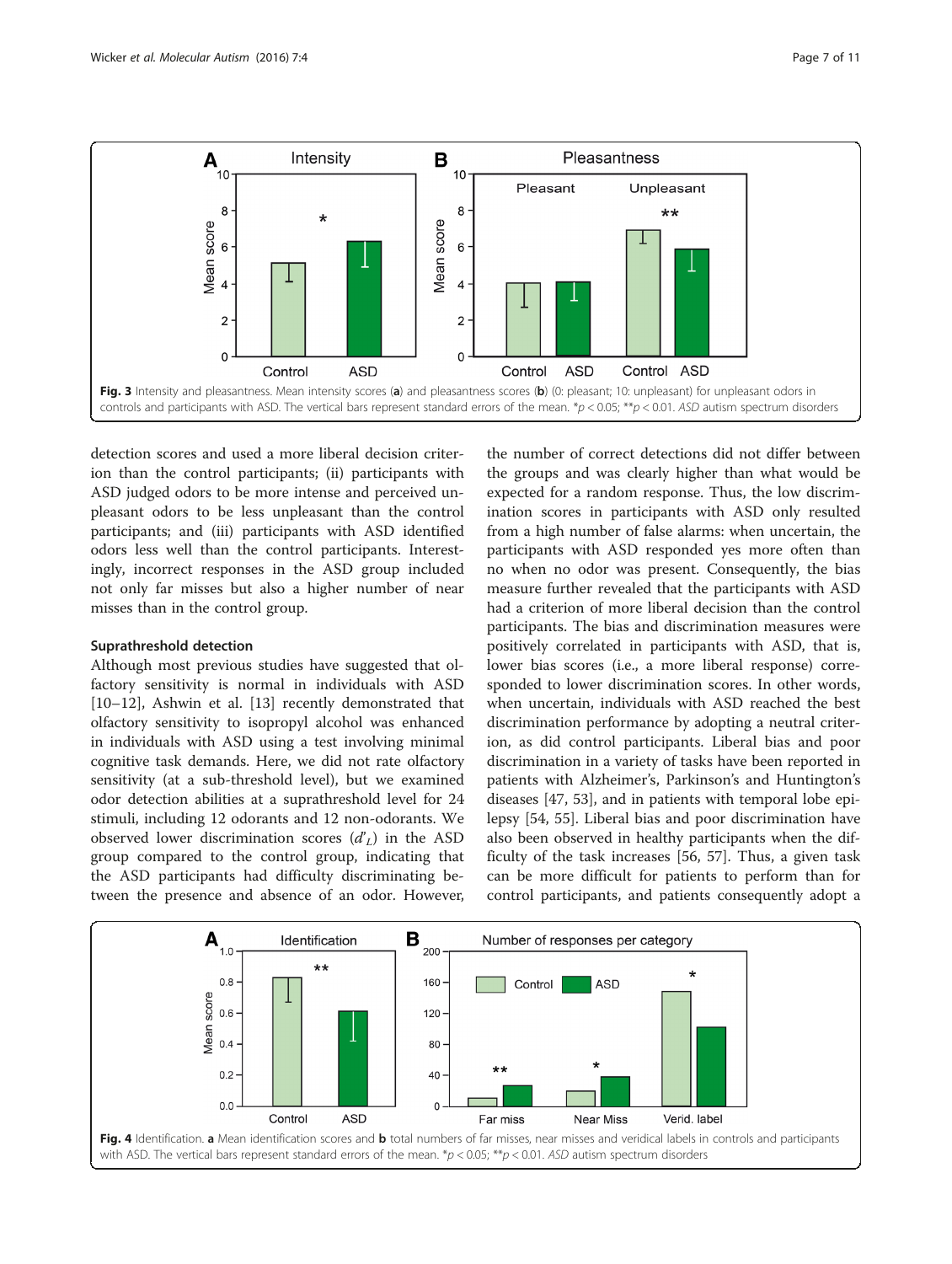<span id="page-6-0"></span>

detection scores and used a more liberal decision criterion than the control participants; (ii) participants with ASD judged odors to be more intense and perceived unpleasant odors to be less unpleasant than the control participants; and (iii) participants with ASD identified odors less well than the control participants. Interestingly, incorrect responses in the ASD group included not only far misses but also a higher number of near misses than in the control group.

#### Suprathreshold detection

Although most previous studies have suggested that olfactory sensitivity is normal in individuals with ASD [[10](#page-9-0)–[12](#page-9-0)], Ashwin et al. [\[13](#page-9-0)] recently demonstrated that olfactory sensitivity to isopropyl alcohol was enhanced in individuals with ASD using a test involving minimal cognitive task demands. Here, we did not rate olfactory sensitivity (at a sub-threshold level), but we examined odor detection abilities at a suprathreshold level for 24 stimuli, including 12 odorants and 12 non-odorants. We observed lower discrimination scores  $(d'_L)$  in the ASD group compared to the control group, indicating that the ASD participants had difficulty discriminating between the presence and absence of an odor. However,

the number of correct detections did not differ between the groups and was clearly higher than what would be expected for a random response. Thus, the low discrimination scores in participants with ASD only resulted from a high number of false alarms: when uncertain, the participants with ASD responded yes more often than no when no odor was present. Consequently, the bias measure further revealed that the participants with ASD had a criterion of more liberal decision than the control participants. The bias and discrimination measures were positively correlated in participants with ASD, that is, lower bias scores (i.e., a more liberal response) corresponded to lower discrimination scores. In other words, when uncertain, individuals with ASD reached the best discrimination performance by adopting a neutral criterion, as did control participants. Liberal bias and poor discrimination in a variety of tasks have been reported in patients with Alzheimer's, Parkinson's and Huntington's diseases [\[47](#page-10-0), [53](#page-10-0)], and in patients with temporal lobe epilepsy [[54](#page-10-0), [55\]](#page-10-0). Liberal bias and poor discrimination have also been observed in healthy participants when the difficulty of the task increases [[56](#page-10-0), [57](#page-10-0)]. Thus, a given task can be more difficult for patients to perform than for control participants, and patients consequently adopt a

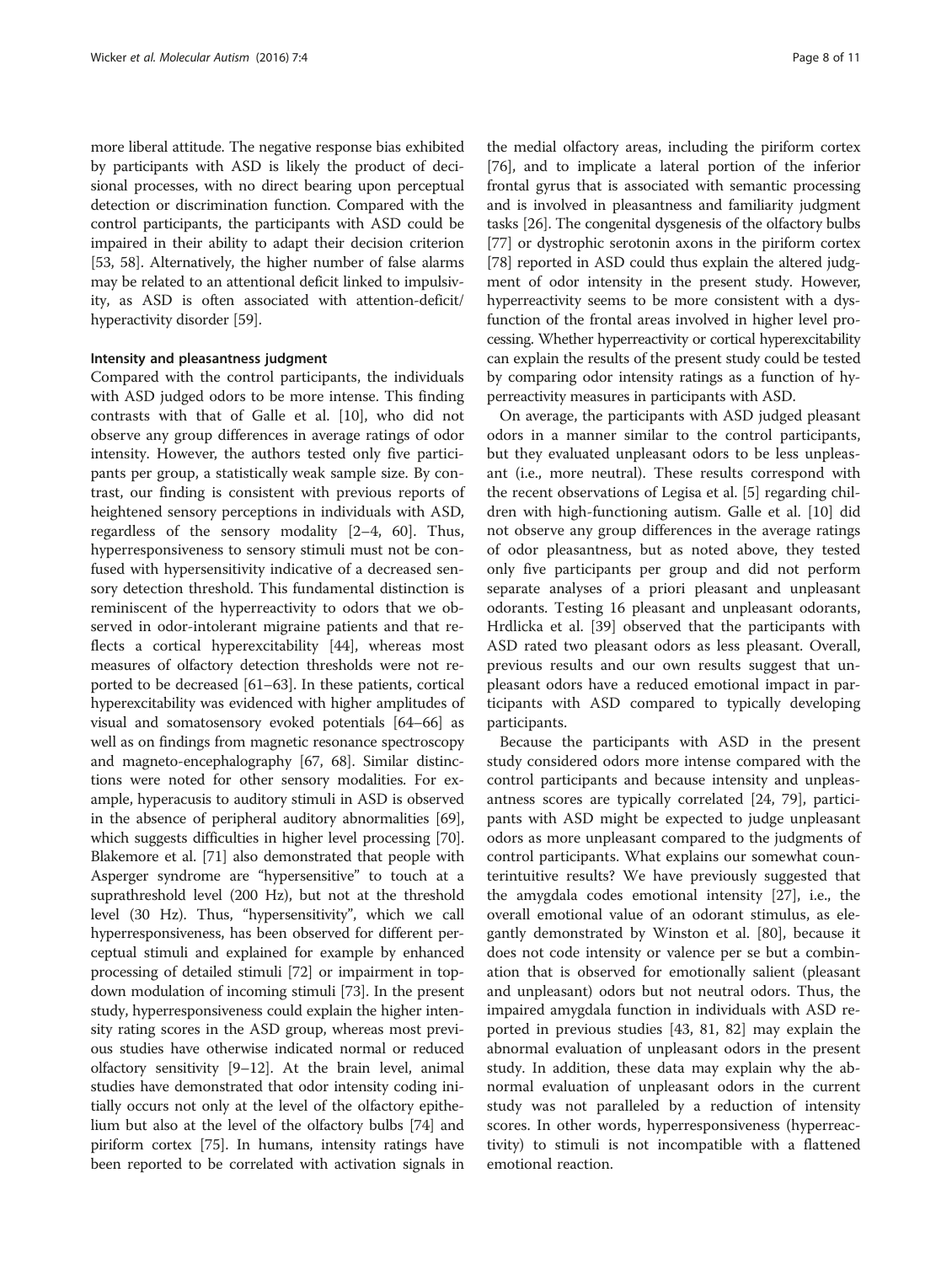more liberal attitude. The negative response bias exhibited by participants with ASD is likely the product of decisional processes, with no direct bearing upon perceptual detection or discrimination function. Compared with the control participants, the participants with ASD could be impaired in their ability to adapt their decision criterion [[53](#page-10-0), [58\]](#page-10-0). Alternatively, the higher number of false alarms may be related to an attentional deficit linked to impulsivity, as ASD is often associated with attention-deficit/ hyperactivity disorder [\[59\]](#page-10-0).

#### Intensity and pleasantness judgment

Compared with the control participants, the individuals with ASD judged odors to be more intense. This finding contrasts with that of Galle et al. [\[10\]](#page-9-0), who did not observe any group differences in average ratings of odor intensity. However, the authors tested only five participants per group, a statistically weak sample size. By contrast, our finding is consistent with previous reports of heightened sensory perceptions in individuals with ASD, regardless of the sensory modality [[2](#page-9-0)–[4,](#page-9-0) [60](#page-10-0)]. Thus, hyperresponsiveness to sensory stimuli must not be confused with hypersensitivity indicative of a decreased sensory detection threshold. This fundamental distinction is reminiscent of the hyperreactivity to odors that we observed in odor-intolerant migraine patients and that reflects a cortical hyperexcitability [\[44\]](#page-10-0), whereas most measures of olfactory detection thresholds were not reported to be decreased [\[61](#page-10-0)–[63](#page-10-0)]. In these patients, cortical hyperexcitability was evidenced with higher amplitudes of visual and somatosensory evoked potentials [\[64](#page-10-0)–[66](#page-10-0)] as well as on findings from magnetic resonance spectroscopy and magneto-encephalography [[67](#page-10-0), [68\]](#page-10-0). Similar distinctions were noted for other sensory modalities. For example, hyperacusis to auditory stimuli in ASD is observed in the absence of peripheral auditory abnormalities [[69](#page-10-0)], which suggests difficulties in higher level processing [[70](#page-10-0)]. Blakemore et al. [\[71](#page-10-0)] also demonstrated that people with Asperger syndrome are "hypersensitive" to touch at a suprathreshold level (200 Hz), but not at the threshold level (30 Hz). Thus, "hypersensitivity", which we call hyperresponsiveness, has been observed for different perceptual stimuli and explained for example by enhanced processing of detailed stimuli [\[72\]](#page-10-0) or impairment in topdown modulation of incoming stimuli [\[73\]](#page-10-0). In the present study, hyperresponsiveness could explain the higher intensity rating scores in the ASD group, whereas most previous studies have otherwise indicated normal or reduced olfactory sensitivity [[9](#page-9-0)–[12\]](#page-9-0). At the brain level, animal studies have demonstrated that odor intensity coding initially occurs not only at the level of the olfactory epithelium but also at the level of the olfactory bulbs [\[74\]](#page-10-0) and piriform cortex [\[75\]](#page-10-0). In humans, intensity ratings have been reported to be correlated with activation signals in

the medial olfactory areas, including the piriform cortex [[76](#page-10-0)], and to implicate a lateral portion of the inferior frontal gyrus that is associated with semantic processing and is involved in pleasantness and familiarity judgment tasks [\[26\]](#page-9-0). The congenital dysgenesis of the olfactory bulbs [[77](#page-10-0)] or dystrophic serotonin axons in the piriform cortex [[78](#page-10-0)] reported in ASD could thus explain the altered judgment of odor intensity in the present study. However, hyperreactivity seems to be more consistent with a dysfunction of the frontal areas involved in higher level processing. Whether hyperreactivity or cortical hyperexcitability can explain the results of the present study could be tested by comparing odor intensity ratings as a function of hyperreactivity measures in participants with ASD.

On average, the participants with ASD judged pleasant odors in a manner similar to the control participants, but they evaluated unpleasant odors to be less unpleasant (i.e., more neutral). These results correspond with the recent observations of Legisa et al. [[5\]](#page-9-0) regarding children with high-functioning autism. Galle et al. [[10](#page-9-0)] did not observe any group differences in the average ratings of odor pleasantness, but as noted above, they tested only five participants per group and did not perform separate analyses of a priori pleasant and unpleasant odorants. Testing 16 pleasant and unpleasant odorants, Hrdlicka et al. [[39\]](#page-9-0) observed that the participants with ASD rated two pleasant odors as less pleasant. Overall, previous results and our own results suggest that unpleasant odors have a reduced emotional impact in participants with ASD compared to typically developing participants.

Because the participants with ASD in the present study considered odors more intense compared with the control participants and because intensity and unpleasantness scores are typically correlated [[24,](#page-9-0) [79](#page-10-0)], participants with ASD might be expected to judge unpleasant odors as more unpleasant compared to the judgments of control participants. What explains our somewhat counterintuitive results? We have previously suggested that the amygdala codes emotional intensity [[27\]](#page-9-0), i.e., the overall emotional value of an odorant stimulus, as elegantly demonstrated by Winston et al. [[80\]](#page-10-0), because it does not code intensity or valence per se but a combination that is observed for emotionally salient (pleasant and unpleasant) odors but not neutral odors. Thus, the impaired amygdala function in individuals with ASD reported in previous studies [[43,](#page-9-0) [81, 82\]](#page-10-0) may explain the abnormal evaluation of unpleasant odors in the present study. In addition, these data may explain why the abnormal evaluation of unpleasant odors in the current study was not paralleled by a reduction of intensity scores. In other words, hyperresponsiveness (hyperreactivity) to stimuli is not incompatible with a flattened emotional reaction.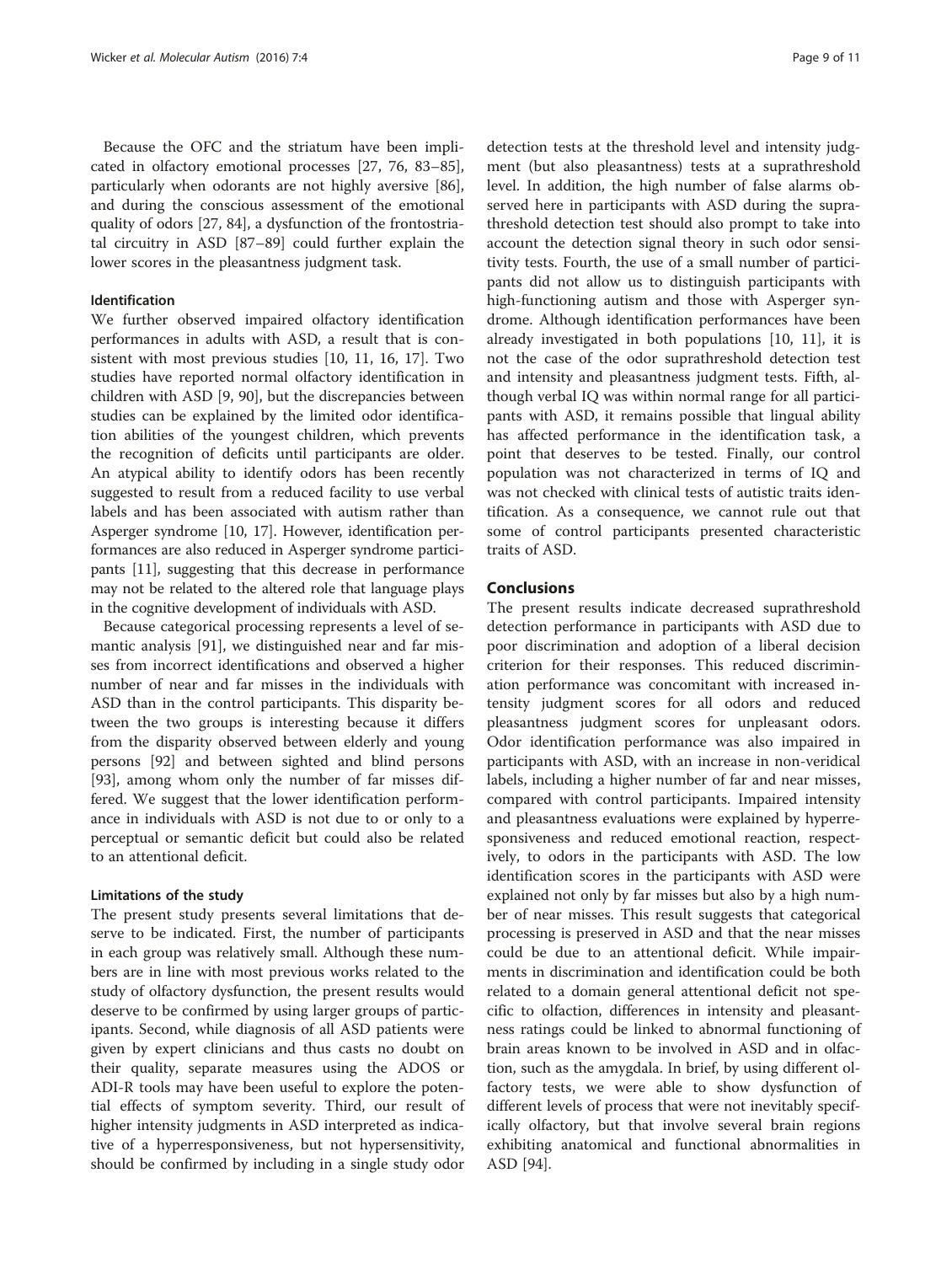Because the OFC and the striatum have been implicated in olfactory emotional processes [[27,](#page-9-0) [76](#page-10-0), [83](#page-10-0)–[85](#page-10-0)], particularly when odorants are not highly aversive [\[86](#page-10-0)], and during the conscious assessment of the emotional quality of odors [[27,](#page-9-0) [84\]](#page-10-0), a dysfunction of the frontostriatal circuitry in ASD [[87](#page-10-0)–[89\]](#page-10-0) could further explain the lower scores in the pleasantness judgment task.

#### Identification

We further observed impaired olfactory identification performances in adults with ASD, a result that is consistent with most previous studies [[10, 11, 16](#page-9-0), [17\]](#page-9-0). Two studies have reported normal olfactory identification in children with ASD [\[9](#page-9-0), [90](#page-10-0)], but the discrepancies between studies can be explained by the limited odor identification abilities of the youngest children, which prevents the recognition of deficits until participants are older. An atypical ability to identify odors has been recently suggested to result from a reduced facility to use verbal labels and has been associated with autism rather than Asperger syndrome [[10, 17\]](#page-9-0). However, identification performances are also reduced in Asperger syndrome participants [[11](#page-9-0)], suggesting that this decrease in performance may not be related to the altered role that language plays in the cognitive development of individuals with ASD.

Because categorical processing represents a level of semantic analysis [\[91](#page-10-0)], we distinguished near and far misses from incorrect identifications and observed a higher number of near and far misses in the individuals with ASD than in the control participants. This disparity between the two groups is interesting because it differs from the disparity observed between elderly and young persons [\[92\]](#page-10-0) and between sighted and blind persons [[93\]](#page-10-0), among whom only the number of far misses differed. We suggest that the lower identification performance in individuals with ASD is not due to or only to a perceptual or semantic deficit but could also be related to an attentional deficit.

#### Limitations of the study

The present study presents several limitations that deserve to be indicated. First, the number of participants in each group was relatively small. Although these numbers are in line with most previous works related to the study of olfactory dysfunction, the present results would deserve to be confirmed by using larger groups of participants. Second, while diagnosis of all ASD patients were given by expert clinicians and thus casts no doubt on their quality, separate measures using the ADOS or ADI-R tools may have been useful to explore the potential effects of symptom severity. Third, our result of higher intensity judgments in ASD interpreted as indicative of a hyperresponsiveness, but not hypersensitivity, should be confirmed by including in a single study odor detection tests at the threshold level and intensity judgment (but also pleasantness) tests at a suprathreshold level. In addition, the high number of false alarms observed here in participants with ASD during the suprathreshold detection test should also prompt to take into account the detection signal theory in such odor sensitivity tests. Fourth, the use of a small number of participants did not allow us to distinguish participants with high-functioning autism and those with Asperger syndrome. Although identification performances have been already investigated in both populations [[10](#page-9-0), [11](#page-9-0)], it is not the case of the odor suprathreshold detection test and intensity and pleasantness judgment tests. Fifth, although verbal IQ was within normal range for all participants with ASD, it remains possible that lingual ability has affected performance in the identification task, a point that deserves to be tested. Finally, our control population was not characterized in terms of IQ and was not checked with clinical tests of autistic traits identification. As a consequence, we cannot rule out that some of control participants presented characteristic traits of ASD.

#### Conclusions

The present results indicate decreased suprathreshold detection performance in participants with ASD due to poor discrimination and adoption of a liberal decision criterion for their responses. This reduced discrimination performance was concomitant with increased intensity judgment scores for all odors and reduced pleasantness judgment scores for unpleasant odors. Odor identification performance was also impaired in participants with ASD, with an increase in non-veridical labels, including a higher number of far and near misses, compared with control participants. Impaired intensity and pleasantness evaluations were explained by hyperresponsiveness and reduced emotional reaction, respectively, to odors in the participants with ASD. The low identification scores in the participants with ASD were explained not only by far misses but also by a high number of near misses. This result suggests that categorical processing is preserved in ASD and that the near misses could be due to an attentional deficit. While impairments in discrimination and identification could be both related to a domain general attentional deficit not specific to olfaction, differences in intensity and pleasantness ratings could be linked to abnormal functioning of brain areas known to be involved in ASD and in olfaction, such as the amygdala. In brief, by using different olfactory tests, we were able to show dysfunction of different levels of process that were not inevitably specifically olfactory, but that involve several brain regions exhibiting anatomical and functional abnormalities in ASD [\[94\]](#page-10-0).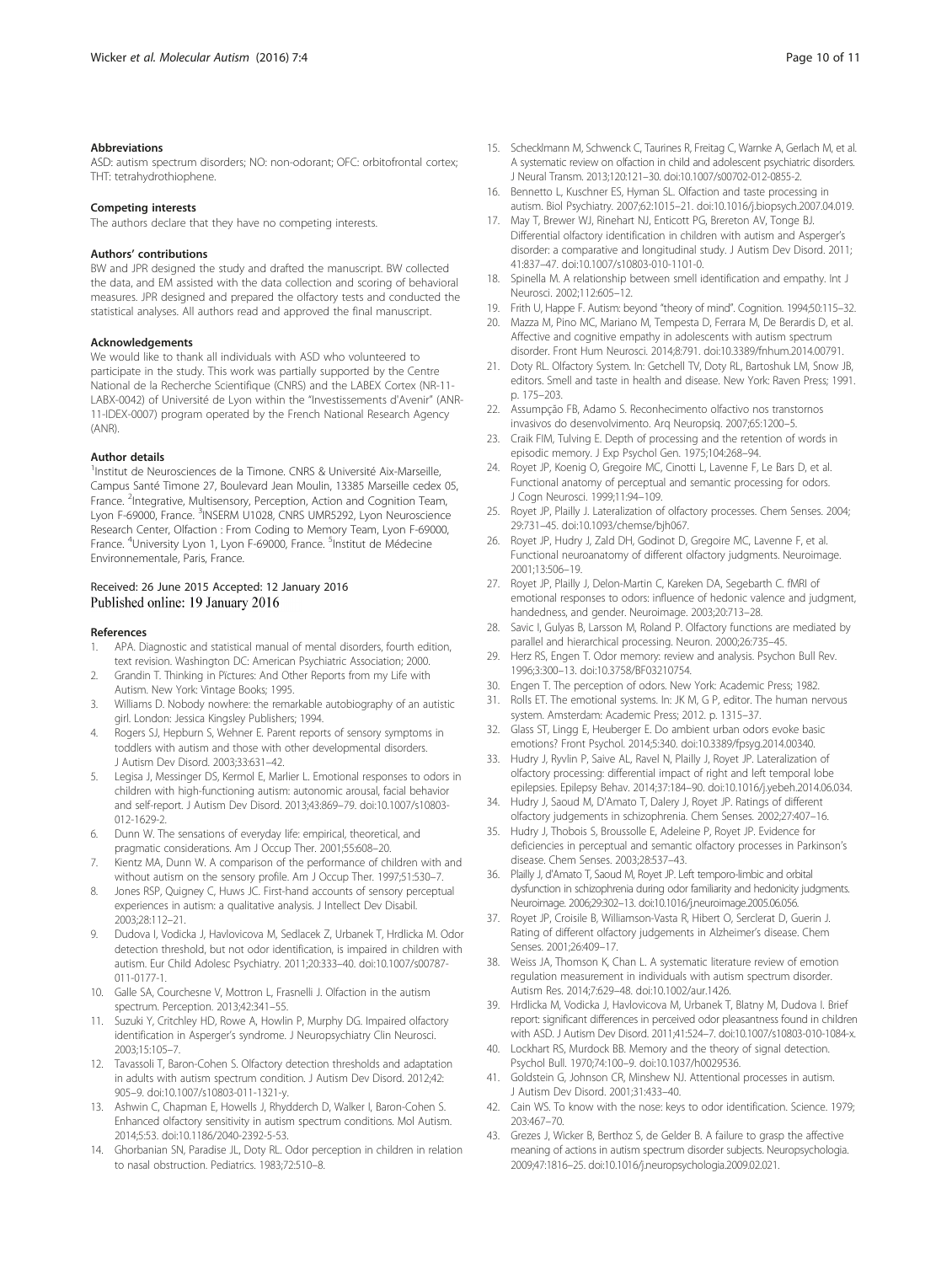#### <span id="page-9-0"></span>Abbreviations

ASD: autism spectrum disorders; NO: non-odorant; OFC: orbitofrontal cortex; THT: tetrahydrothiophene.

#### Competing interests

The authors declare that they have no competing interests.

#### Authors' contributions

BW and JPR designed the study and drafted the manuscript. BW collected the data, and EM assisted with the data collection and scoring of behavioral measures. JPR designed and prepared the olfactory tests and conducted the statistical analyses. All authors read and approved the final manuscript.

#### Acknowledgements

We would like to thank all individuals with ASD who volunteered to participate in the study. This work was partially supported by the Centre National de la Recherche Scientifique (CNRS) and the LABEX Cortex (NR-11- LABX-0042) of Université de Lyon within the "Investissements d'Avenir" (ANR-11-IDEX-0007) program operated by the French National Research Agency (ANR).

#### Author details

<sup>1</sup>Institut de Neurosciences de la Timone. CNRS & Université Aix-Marseille, Campus Santé Timone 27, Boulevard Jean Moulin, 13385 Marseille cedex 05, France. <sup>2</sup>Integrative, Multisensory, Perception, Action and Cognition Team, Lyon F-69000, France. <sup>3</sup>INSERM U1028, CNRS UMR5292, Lyon Neuroscience Research Center, Olfaction : From Coding to Memory Team, Lyon F-69000, France. <sup>4</sup>University Lyon 1, Lyon F-69000, France. <sup>5</sup>Institut de Médecine Environnementale, Paris, France.

# Received: 26 June 2015 Accepted: 12 January 2016<br>Published online: 19 January 2016

#### References

- 1. APA. Diagnostic and statistical manual of mental disorders, fourth edition, text revision. Washington DC: American Psychiatric Association; 2000.
- 2. Grandin T. Thinking in Pïctures: And Other Reports from my Life with Autism. New York: Vintage Books; 1995.
- 3. Williams D. Nobody nowhere: the remarkable autobiography of an autistic girl. London: Jessica Kingsley Publishers; 1994.
- 4. Rogers SJ, Hepburn S, Wehner E. Parent reports of sensory symptoms in toddlers with autism and those with other developmental disorders. J Autism Dev Disord. 2003;33:631–42.
- 5. Legisa J, Messinger DS, Kermol E, Marlier L. Emotional responses to odors in children with high-functioning autism: autonomic arousal, facial behavior and self-report. J Autism Dev Disord. 2013;43:869–79. doi:[10.1007/s10803-](http://dx.doi.org/10.1007/s10803-012-1629-2) [012-1629-2](http://dx.doi.org/10.1007/s10803-012-1629-2).
- 6. Dunn W. The sensations of everyday life: empirical, theoretical, and pragmatic considerations. Am J Occup Ther. 2001;55:608–20.
- 7. Kientz MA, Dunn W. A comparison of the performance of children with and without autism on the sensory profile. Am J Occup Ther. 1997;51:530–7.
- 8. Jones RSP, Quigney C, Huws JC. First-hand accounts of sensory perceptual experiences in autism: a qualitative analysis. J Intellect Dev Disabil. 2003;28:112–21.
- 9. Dudova I, Vodicka J, Havlovicova M, Sedlacek Z, Urbanek T, Hrdlicka M. Odor detection threshold, but not odor identification, is impaired in children with autism. Eur Child Adolesc Psychiatry. 2011;20:333–40. doi[:10.1007/s00787-](http://dx.doi.org/10.1007/s00787-011-0177-1) [011-0177-1](http://dx.doi.org/10.1007/s00787-011-0177-1).
- 10. Galle SA, Courchesne V, Mottron L, Frasnelli J. Olfaction in the autism spectrum. Perception. 2013;42:341–55.
- 11. Suzuki Y, Critchley HD, Rowe A, Howlin P, Murphy DG. Impaired olfactory identification in Asperger's syndrome. J Neuropsychiatry Clin Neurosci. 2003;15:105–7.
- 12. Tavassoli T, Baron-Cohen S. Olfactory detection thresholds and adaptation in adults with autism spectrum condition. J Autism Dev Disord. 2012;42: 905–9. doi:[10.1007/s10803-011-1321-y.](http://dx.doi.org/10.1007/s10803-011-1321-y)
- 13. Ashwin C, Chapman E, Howells J, Rhydderch D, Walker I, Baron-Cohen S. Enhanced olfactory sensitivity in autism spectrum conditions. Mol Autism. 2014;5:53. doi:[10.1186/2040-2392-5-53](http://dx.doi.org/10.1186/2040-2392-5-53).
- 14. Ghorbanian SN, Paradise JL, Doty RL. Odor perception in children in relation to nasal obstruction. Pediatrics. 1983;72:510–8.
- 15. Schecklmann M, Schwenck C, Taurines R, Freitag C, Warnke A, Gerlach M, et al. A systematic review on olfaction in child and adolescent psychiatric disorders. J Neural Transm. 2013;120:121–30. doi[:10.1007/s00702-012-0855-2.](http://dx.doi.org/10.1007/s00702-012-0855-2)
- 16. Bennetto L, Kuschner ES, Hyman SL. Olfaction and taste processing in autism. Biol Psychiatry. 2007;62:1015–21. doi[:10.1016/j.biopsych.2007.04.019](http://dx.doi.org/10.1016/j.biopsych.2007.04.019).
- 17. May T, Brewer WJ, Rinehart NJ, Enticott PG, Brereton AV, Tonge BJ. Differential olfactory identification in children with autism and Asperger's disorder: a comparative and longitudinal study. J Autism Dev Disord. 2011; 41:837–47. doi:[10.1007/s10803-010-1101-0](http://dx.doi.org/10.1007/s10803-010-1101-0).
- 18. Spinella M. A relationship between smell identification and empathy. Int J Neurosci. 2002;112:605–12.
- 19. Frith U, Happe F. Autism: beyond "theory of mind". Cognition. 1994;50:115–32.
- 20. Mazza M, Pino MC, Mariano M, Tempesta D, Ferrara M, De Berardis D, et al. Affective and cognitive empathy in adolescents with autism spectrum disorder. Front Hum Neurosci. 2014;8:791. doi:[10.3389/fnhum.2014.00791.](http://dx.doi.org/10.3389/fnhum.2014.00791)
- 21. Doty RL. Olfactory System. In: Getchell TV, Doty RL, Bartoshuk LM, Snow JB, editors. Smell and taste in health and disease. New York: Raven Press; 1991. p. 175–203.
- 22. Assumpção FB, Adamo S. Reconhecimento olfactivo nos transtornos invasivos do desenvolvimento. Arq Neuropsiq. 2007;65:1200–5.
- 23. Craik FIM, Tulving E. Depth of processing and the retention of words in episodic memory. J Exp Psychol Gen. 1975;104:268–94.
- 24. Royet JP, Koenig O, Gregoire MC, Cinotti L, Lavenne F, Le Bars D, et al. Functional anatomy of perceptual and semantic processing for odors. J Cogn Neurosci. 1999;11:94–109.
- 25. Royet JP, Plailly J. Lateralization of olfactory processes. Chem Senses. 2004; 29:731–45. doi:[10.1093/chemse/bjh067.](http://dx.doi.org/10.1093/chemse/bjh067)
- 26. Royet JP, Hudry J, Zald DH, Godinot D, Gregoire MC, Lavenne F, et al. Functional neuroanatomy of different olfactory judgments. Neuroimage. 2001;13:506–19.
- 27. Royet JP, Plailly J, Delon-Martin C, Kareken DA, Segebarth C. fMRI of emotional responses to odors: influence of hedonic valence and judgment, handedness, and gender. Neuroimage. 2003;20:713–28.
- 28. Savic I, Gulyas B, Larsson M, Roland P. Olfactory functions are mediated by parallel and hierarchical processing. Neuron. 2000;26:735–45.
- 29. Herz RS, Engen T. Odor memory: review and analysis. Psychon Bull Rev. 1996;3:300–13. doi[:10.3758/BF03210754.](http://dx.doi.org/10.3758/BF03210754)
- 30. Engen T. The perception of odors. New York: Academic Press; 1982.
- 31. Rolls ET. The emotional systems. In: JK M, G P, editor. The human nervous system. Amsterdam: Academic Press; 2012. p. 1315–37.
- 32. Glass ST, Lingg E, Heuberger E. Do ambient urban odors evoke basic emotions? Front Psychol. 2014;5:340. doi:[10.3389/fpsyg.2014.00340](http://dx.doi.org/10.3389/fpsyg.2014.00340).
- 33. Hudry J, Ryvlin P, Saive AL, Ravel N, Plailly J, Royet JP. Lateralization of olfactory processing: differential impact of right and left temporal lobe epilepsies. Epilepsy Behav. 2014;37:184–90. doi[:10.1016/j.yebeh.2014.06.034](http://dx.doi.org/10.1016/j.yebeh.2014.06.034).
- 34. Hudry J, Saoud M, D'Amato T, Dalery J, Royet JP. Ratings of different olfactory judgements in schizophrenia. Chem Senses. 2002;27:407–16.
- 35. Hudry J, Thobois S, Broussolle E, Adeleine P, Royet JP. Evidence for deficiencies in perceptual and semantic olfactory processes in Parkinson's disease. Chem Senses. 2003;28:537–43.
- 36. Plailly J, d'Amato T, Saoud M, Royet JP. Left temporo-limbic and orbital dysfunction in schizophrenia during odor familiarity and hedonicity judgments. Neuroimage. 2006;29:302–13. doi[:10.1016/j.neuroimage.2005.06.056.](http://dx.doi.org/10.1016/j.neuroimage.2005.06.056)
- 37. Royet JP, Croisile B, Williamson-Vasta R, Hibert O, Serclerat D, Guerin J. Rating of different olfactory judgements in Alzheimer's disease. Chem Senses. 2001;26:409–17.
- 38. Weiss JA, Thomson K, Chan L. A systematic literature review of emotion regulation measurement in individuals with autism spectrum disorder. Autism Res. 2014;7:629–48. doi[:10.1002/aur.1426](http://dx.doi.org/10.1002/aur.1426).
- 39. Hrdlicka M, Vodicka J, Havlovicova M, Urbanek T, Blatny M, Dudova I. Brief report: significant differences in perceived odor pleasantness found in children with ASD. J Autism Dev Disord. 2011;41:524–7. doi:[10.1007/s10803-010-1084-x](http://dx.doi.org/10.1007/s10803-010-1084-x).
- 40. Lockhart RS, Murdock BB. Memory and the theory of signal detection. Psychol Bull. 1970;74:100–9. doi:[10.1037/h0029536](http://dx.doi.org/10.1037/h0029536).
- 41. Goldstein G, Johnson CR, Minshew NJ. Attentional processes in autism. J Autism Dev Disord. 2001;31:433–40.
- 42. Cain WS. To know with the nose: keys to odor identification. Science. 1979; 203:467–70.
- 43. Grezes J, Wicker B, Berthoz S, de Gelder B. A failure to grasp the affective meaning of actions in autism spectrum disorder subjects. Neuropsychologia. 2009;47:1816–25. doi[:10.1016/j.neuropsychologia.2009.02.021.](http://dx.doi.org/10.1016/j.neuropsychologia.2009.02.021)